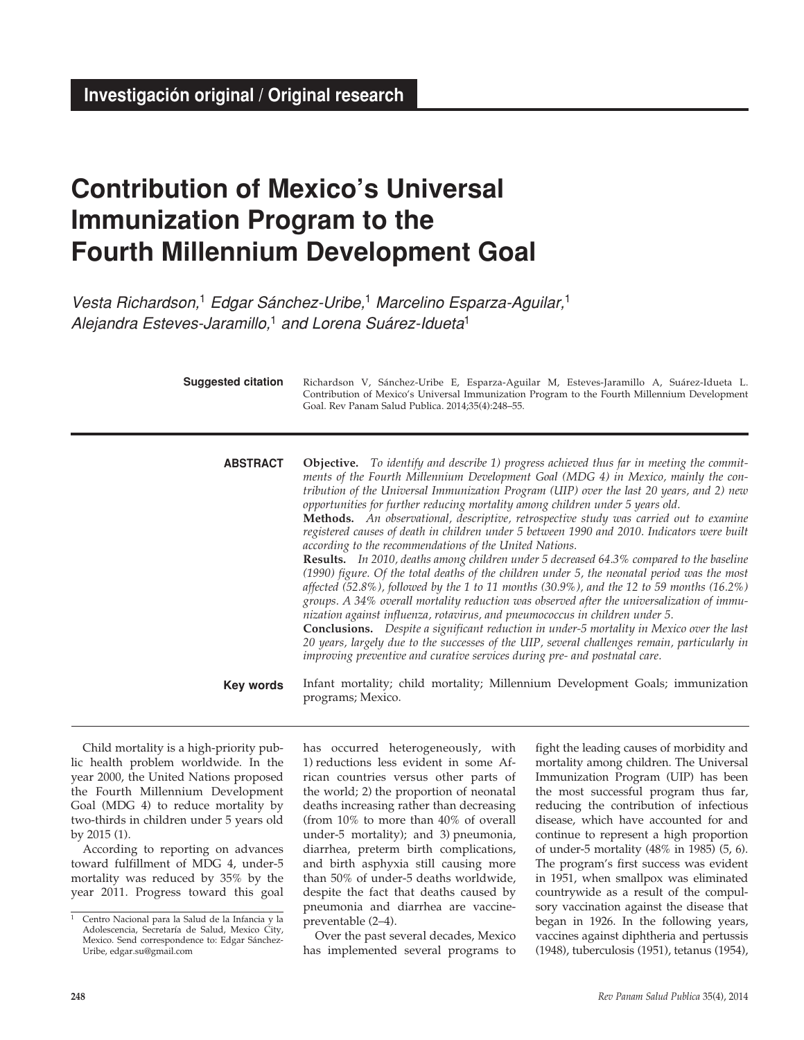# **Contribution of Mexico's Universal Immunization Program to the Fourth Millennium Development Goal**

*Vesta Richardson,*1 *Edgar Sánchez-Uribe,*1 *Marcelino Esparza-Aguilar,*<sup>1</sup> *Alejandra Esteves-Jaramillo,*1 *and Lorena Suárez-Idueta*<sup>1</sup>

| <b>Suggested citation</b> | Richardson V, Sánchez-Uribe E, Esparza-Aguilar M, Esteves-Jaramillo A, Suárez-Idueta L.<br>Contribution of Mexico's Universal Immunization Program to the Fourth Millennium Development<br>Goal. Rev Panam Salud Publica. 2014;35(4):248-55.                                                                                                                                                                                                                                                                                                                                                                                                                                                                                                                                                                                                                                                                                                                                                                                                                                                                                                                                                                                                                                                                                                                               |  |  |  |  |  |
|---------------------------|----------------------------------------------------------------------------------------------------------------------------------------------------------------------------------------------------------------------------------------------------------------------------------------------------------------------------------------------------------------------------------------------------------------------------------------------------------------------------------------------------------------------------------------------------------------------------------------------------------------------------------------------------------------------------------------------------------------------------------------------------------------------------------------------------------------------------------------------------------------------------------------------------------------------------------------------------------------------------------------------------------------------------------------------------------------------------------------------------------------------------------------------------------------------------------------------------------------------------------------------------------------------------------------------------------------------------------------------------------------------------|--|--|--|--|--|
| <b>ABSTRACT</b>           | <b>Objective.</b> To identify and describe 1) progress achieved thus far in meeting the commit-<br>ments of the Fourth Millennium Development Goal (MDG 4) in Mexico, mainly the con-<br>tribution of the Universal Immunization Program (UIP) over the last 20 years, and 2) new<br>opportunities for further reducing mortality among children under 5 years old.<br>Methods. An observational, descriptive, retrospective study was carried out to examine<br>registered causes of death in children under 5 between 1990 and 2010. Indicators were built<br>according to the recommendations of the United Nations.<br>Results. In 2010, deaths among children under 5 decreased 64.3% compared to the baseline<br>(1990) figure. Of the total deaths of the children under 5, the neonatal period was the most<br>affected (52.8%), followed by the 1 to 11 months (30.9%), and the 12 to 59 months (16.2%)<br>groups. A 34% overall mortality reduction was observed after the universalization of immu-<br>nization against influenza, rotavirus, and pneumococcus in children under 5.<br>Conclusions. Despite a significant reduction in under-5 mortality in Mexico over the last<br>20 years, largely due to the successes of the UIP, several challenges remain, particularly in<br>improving preventive and curative services during pre- and postnatal care. |  |  |  |  |  |
| Key words                 | Infant mortality; child mortality; Millennium Development Goals; immunization<br>programs; Mexico.                                                                                                                                                                                                                                                                                                                                                                                                                                                                                                                                                                                                                                                                                                                                                                                                                                                                                                                                                                                                                                                                                                                                                                                                                                                                         |  |  |  |  |  |

Child mortality is a high-priority public health problem worldwide. In the year 2000, the United Nations proposed the Fourth Millennium Development Goal (MDG 4) to reduce mortality by two-thirds in children under 5 years old by 2015 (1).

According to reporting on advances toward fulfillment of MDG 4, under-5 mortality was reduced by 35% by the year 2011. Progress toward this goal has occurred heterogeneously, with 1) reductions less evident in some African countries versus other parts of the world; 2) the proportion of neonatal deaths increasing rather than decreasing (from 10% to more than 40% of overall under-5 mortality); and 3) pneumonia, diarrhea, preterm birth complications, and birth asphyxia still causing more than 50% of under-5 deaths worldwide, despite the fact that deaths caused by pneumonia and diarrhea are vaccinepreventable (2–4).

Over the past several decades, Mexico has implemented several programs to

fight the leading causes of morbidity and mortality among children. The Universal Immunization Program (UIP) has been the most successful program thus far, reducing the contribution of infectious disease, which have accounted for and continue to represent a high proportion of under-5 mortality (48% in 1985) (5, 6). The program's first success was evident in 1951, when smallpox was eliminated countrywide as a result of the compulsory vaccination against the disease that began in 1926. In the following years, vaccines against diphtheria and pertussis (1948), tuberculosis (1951), tetanus (1954),

<sup>1</sup> Centro Nacional para la Salud de la Infancia y la Adolescencia, Secretaría de Salud, Mexico City, Mexico. Send correspondence to: Edgar Sánchez-Uribe, edgar.su@gmail.com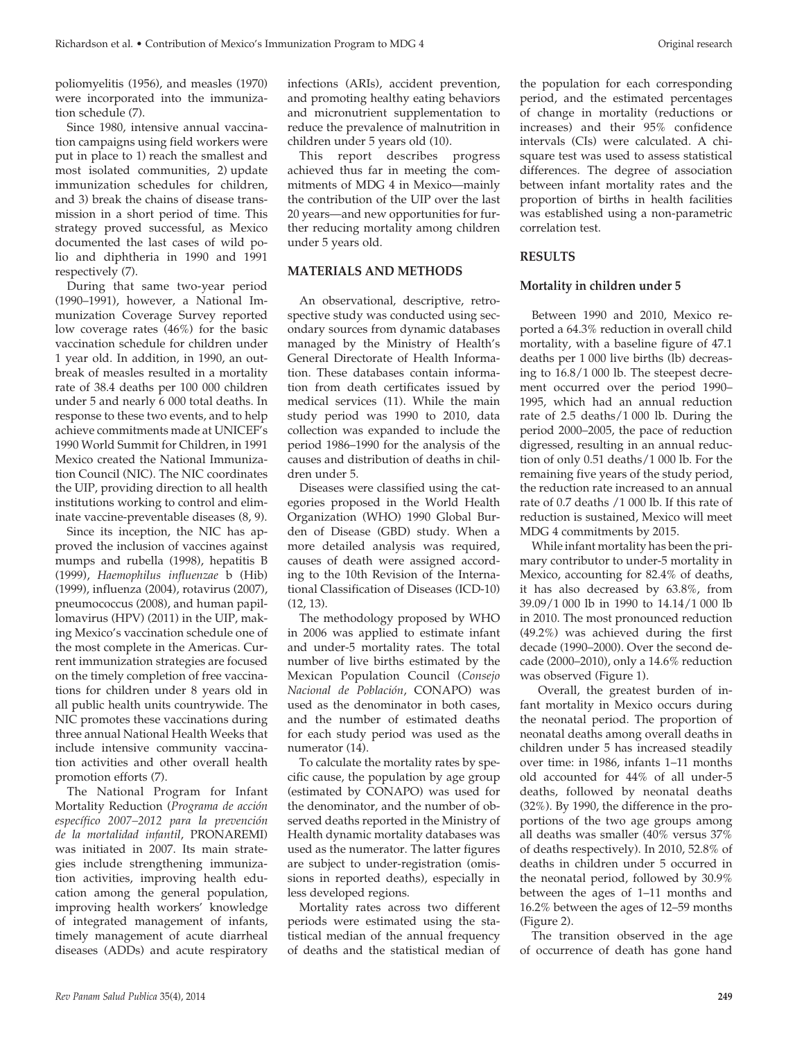poliomyelitis (1956), and measles (1970) were incorporated into the immunization schedule (7).

Since 1980, intensive annual vaccination campaigns using field workers were put in place to 1) reach the smallest and most isolated communities, 2) update immunization schedules for children, and 3) break the chains of disease transmission in a short period of time. This strategy proved successful, as Mexico documented the last cases of wild polio and diphtheria in 1990 and 1991 respectively (7).

During that same two-year period (1990–1991), however, a National Immunization Coverage Survey reported low coverage rates (46%) for the basic vaccination schedule for children under 1 year old. In addition, in 1990, an outbreak of measles resulted in a mortality rate of 38.4 deaths per 100 000 children under 5 and nearly 6 000 total deaths. In response to these two events, and to help achieve commitments made at UNICEF's 1990 World Summit for Children, in 1991 Mexico created the National Immunization Council (NIC). The NIC coordinates the UIP, providing direction to all health institutions working to control and eliminate vaccine-preventable diseases (8, 9).

Since its inception, the NIC has approved the inclusion of vaccines against mumps and rubella (1998), hepatitis B (1999), *Haemophilus influenzae* b (Hib) (1999), influenza (2004), rotavirus (2007), pneumococcus (2008), and human papillomavirus (HPV) (2011) in the UIP, making Mexico's vaccination schedule one of the most complete in the Americas. Current immunization strategies are focused on the timely completion of free vaccinations for children under 8 years old in all public health units countrywide. The NIC promotes these vaccinations during three annual National Health Weeks that include intensive community vaccination activities and other overall health promotion efforts (7).

The National Program for Infant Mortality Reduction (*Programa de acción específico 2007–2012 para la prevención de la mortalidad infantil*, PRONAREMI) was initiated in 2007. Its main strategies include strengthening immunization activities, improving health education among the general population, improving health workers' knowledge of integrated management of infants, timely management of acute diarrheal diseases (ADDs) and acute respiratory infections (ARIs), accident prevention, and promoting healthy eating behaviors and micronutrient supplementation to reduce the prevalence of malnutrition in children under 5 years old (10).

This report describes progress achieved thus far in meeting the commitments of MDG 4 in Mexico—mainly the contribution of the UIP over the last 20 years—and new opportunities for further reducing mortality among children under 5 years old.

# **MATERIALS AND METHODS**

An observational, descriptive, retrospective study was conducted using secondary sources from dynamic databases managed by the Ministry of Health's General Directorate of Health Information. These databases contain information from death certificates issued by medical services (11). While the main study period was 1990 to 2010, data collection was expanded to include the period 1986–1990 for the analysis of the causes and distribution of deaths in children under 5.

Diseases were classified using the categories proposed in the World Health Organization (WHO) 1990 Global Burden of Disease (GBD) study. When a more detailed analysis was required, causes of death were assigned according to the 10th Revision of the International Classification of Diseases (ICD-10)  $(12, 13)$ .

The methodology proposed by WHO in 2006 was applied to estimate infant and under-5 mortality rates. The total number of live births estimated by the Mexican Population Council (*Consejo Nacional de Población*, CONAPO) was used as the denominator in both cases, and the number of estimated deaths for each study period was used as the numerator (14).

To calculate the mortality rates by specific cause, the population by age group (estimated by CONAPO) was used for the denominator, and the number of observed deaths reported in the Ministry of Health dynamic mortality databases was used as the numerator. The latter figures are subject to under-registration (omissions in reported deaths), especially in less developed regions.

Mortality rates across two different periods were estimated using the statistical median of the annual frequency of deaths and the statistical median of

the population for each corresponding period, and the estimated percentages of change in mortality (reductions or increases) and their 95% confidence intervals (CIs) were calculated. A chisquare test was used to assess statistical differences. The degree of association between infant mortality rates and the proportion of births in health facilities was established using a non-parametric correlation test.

# **RESULTS**

### **Mortality in children under 5**

Between 1990 and 2010, Mexico reported a 64.3% reduction in overall child mortality, with a baseline figure of 47.1 deaths per 1 000 live births (lb) decreasing to 16.8/1 000 lb. The steepest decrement occurred over the period 1990– 1995, which had an annual reduction rate of 2.5 deaths/1 000 lb. During the period 2000–2005, the pace of reduction digressed, resulting in an annual reduction of only 0.51 deaths/1 000 lb. For the remaining five years of the study period, the reduction rate increased to an annual rate of 0.7 deaths /1 000 lb. If this rate of reduction is sustained, Mexico will meet MDG 4 commitments by 2015.

While infant mortality has been the primary contributor to under-5 mortality in Mexico, accounting for 82.4% of deaths, it has also decreased by 63.8%, from 39.09/1 000 lb in 1990 to 14.14/1 000 lb in 2010. The most pronounced reduction (49.2%) was achieved during the first decade (1990–2000). Over the second decade (2000–2010), only a 14.6% reduction was observed (Figure 1).

 Overall, the greatest burden of infant mortality in Mexico occurs during the neonatal period. The proportion of neonatal deaths among overall deaths in children under 5 has increased steadily over time: in 1986, infants 1–11 months old accounted for 44% of all under-5 deaths, followed by neonatal deaths (32%). By 1990, the difference in the proportions of the two age groups among all deaths was smaller (40% versus 37% of deaths respectively). In 2010, 52.8% of deaths in children under 5 occurred in the neonatal period, followed by 30.9% between the ages of 1–11 months and 16.2% between the ages of 12–59 months (Figure 2).

The transition observed in the age of occurrence of death has gone hand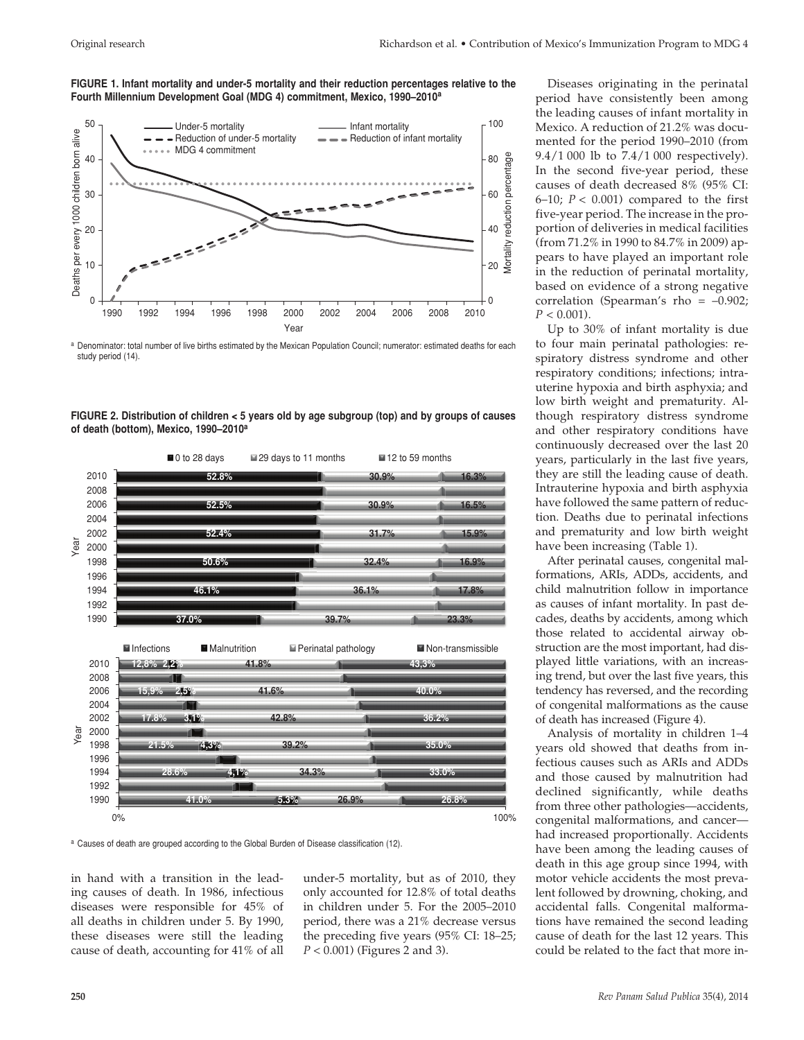**FIGURE 1. Infant mortality and under-5 mortality and their reduction percentages relative to the Fourth Millennium Development Goal (MDG 4) commitment, Mexico, 1990–2010a**



a Denominator: total number of live births estimated by the Mexican Population Council; numerator: estimated deaths for each study period (14).





a Causes of death are grouped according to the Global Burden of Disease classification (12).

in hand with a transition in the leading causes of death. In 1986, infectious diseases were responsible for 45% of all deaths in children under 5. By 1990, these diseases were still the leading cause of death, accounting for 41% of all under-5 mortality, but as of 2010, they only accounted for 12.8% of total deaths in children under 5. For the 2005–2010 period, there was a 21% decrease versus the preceding five years (95% CI: 18–25; *P* < 0.001) (Figures 2 and 3).

Diseases originating in the perinatal period have consistently been among the leading causes of infant mortality in Mexico. A reduction of 21.2% was documented for the period 1990–2010 (from 9.4/1 000 lb to 7.4/1 000 respectively). In the second five-year period, these causes of death decreased 8% (95% CI:  $6-10$ ;  $P < 0.001$ ) compared to the first five-year period. The increase in the proportion of deliveries in medical facilities (from 71.2% in 1990 to 84.7% in 2009) appears to have played an important role in the reduction of perinatal mortality, based on evidence of a strong negative correlation (Spearman's rho =  $-0.902$ ;  $P < 0.001$ ).

Up to 30% of infant mortality is due to four main perinatal pathologies: respiratory distress syndrome and other respiratory conditions; infections; intrauterine hypoxia and birth asphyxia; and low birth weight and prematurity. Although respiratory distress syndrome and other respiratory conditions have continuously decreased over the last 20 years, particularly in the last five years, they are still the leading cause of death. Intrauterine hypoxia and birth asphyxia have followed the same pattern of reduction. Deaths due to perinatal infections and prematurity and low birth weight have been increasing (Table 1).

After perinatal causes, congenital malformations, ARIs, ADDs, accidents, and child malnutrition follow in importance as causes of infant mortality. In past decades, deaths by accidents, among which those related to accidental airway obstruction are the most important, had displayed little variations, with an increasing trend, but over the last five years, this tendency has reversed, and the recording of congenital malformations as the cause of death has increased (Figure 4).

Analysis of mortality in children 1–4 years old showed that deaths from infectious causes such as ARIs and ADDs and those caused by malnutrition had declined significantly, while deaths from three other pathologies—accidents, congenital malformations, and cancer had increased proportionally. Accidents have been among the leading causes of death in this age group since 1994, with motor vehicle accidents the most prevalent followed by drowning, choking, and accidental falls. Congenital malformations have remained the second leading cause of death for the last 12 years. This could be related to the fact that more in-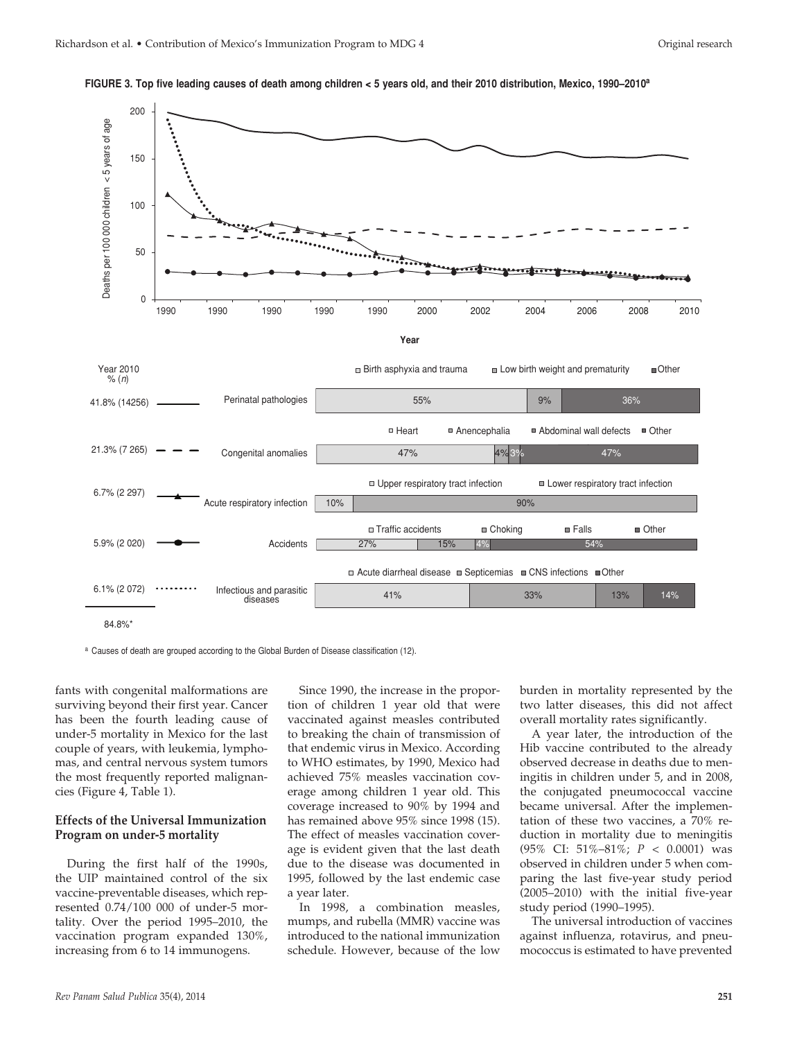

**Figure 3. Top five leading causes of death among children < 5 years old, and their 2010 distribution, Mexico, 1990–2010a** 

a Causes of death are grouped according to the Global Burden of Disease classification (12).

fants with congenital malformations are surviving beyond their first year. Cancer has been the fourth leading cause of under-5 mortality in Mexico for the last couple of years, with leukemia, lymphomas, and central nervous system tumors the most frequently reported malignancies (Figure 4, Table 1).

#### **Effects of the Universal Immunization Program on under-5 mortality**

During the first half of the 1990s, the UIP maintained control of the six vaccine-preventable diseases, which represented 0.74/100 000 of under-5 mortality. Over the period 1995–2010, the vaccination program expanded 130%, increasing from 6 to 14 immunogens.

Since 1990, the increase in the proportion of children 1 year old that were vaccinated against measles contributed to breaking the chain of transmission of that endemic virus in Mexico. According to WHO estimates, by 1990, Mexico had achieved 75% measles vaccination coverage among children 1 year old. This coverage increased to 90% by 1994 and has remained above 95% since 1998 (15). The effect of measles vaccination coverage is evident given that the last death due to the disease was documented in 1995, followed by the last endemic case a year later.

In 1998, a combination measles, mumps, and rubella (MMR) vaccine was introduced to the national immunization schedule. However, because of the low burden in mortality represented by the two latter diseases, this did not affect overall mortality rates significantly.

A year later, the introduction of the Hib vaccine contributed to the already observed decrease in deaths due to meningitis in children under 5, and in 2008, the conjugated pneumococcal vaccine became universal. After the implementation of these two vaccines, a 70% reduction in mortality due to meningitis (95% CI: 51%–81%; *P* < 0.0001) was observed in children under 5 when comparing the last five-year study period (2005–2010) with the initial five-year study period (1990–1995).

The universal introduction of vaccines against influenza, rotavirus, and pneumococcus is estimated to have prevented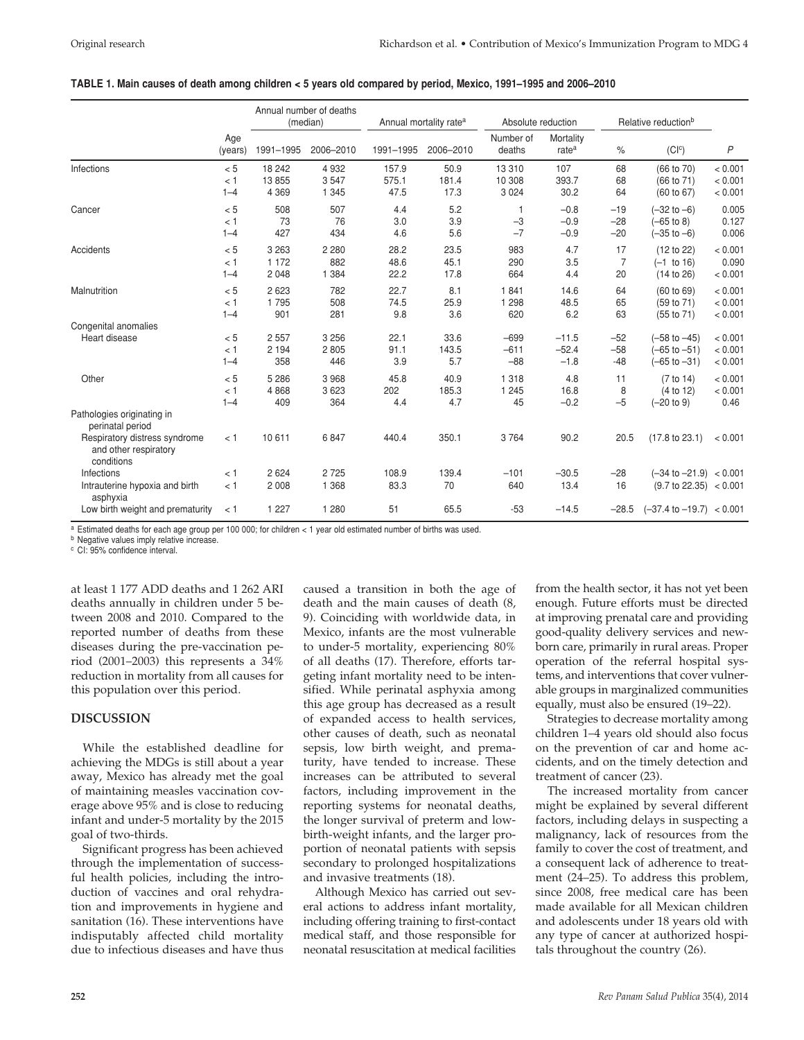|                                                                                                                        | Age<br>(years)        | Annual number of deaths<br>(median) |                           | Annual mortality rate <sup>a</sup> |                       | Absolute reduction           |                                | Relative reduction <sup>b</sup> |                                                                 |                               |
|------------------------------------------------------------------------------------------------------------------------|-----------------------|-------------------------------------|---------------------------|------------------------------------|-----------------------|------------------------------|--------------------------------|---------------------------------|-----------------------------------------------------------------|-------------------------------|
|                                                                                                                        |                       | 1991-1995                           | 2006-2010                 | 1991-1995                          | 2006-2010             | Number of<br>deaths          | Mortality<br>rate <sup>a</sup> | $\%$                            | (C c)                                                           | $\mathsf{P}$                  |
| Infections                                                                                                             | < 5<br>< 1<br>$1 - 4$ | 18 24 2<br>13855<br>4 3 6 9         | 4932<br>3547<br>1 3 4 5   | 157.9<br>575.1<br>47.5             | 50.9<br>181.4<br>17.3 | 13 3 10<br>10 308<br>3 0 2 4 | 107<br>393.7<br>30.2           | 68<br>68<br>64                  | (66 to 70)<br>(66 to 71)<br>(60 to 67)                          | < 0.001<br>< 0.001<br>< 0.001 |
| Cancer                                                                                                                 | < 5<br>< 1<br>$1 - 4$ | 508<br>73<br>427                    | 507<br>76<br>434          | 4.4<br>3.0<br>4.6                  | 5.2<br>3.9<br>5.6     | $-3$<br>$-7$                 | $-0.8$<br>$-0.9$<br>$-0.9$     | $-19$<br>$-28$<br>$-20$         | $(-32 to -6)$<br>$(-65$ to 8)<br>$(-35$ to $-6)$                | 0.005<br>0.127<br>0.006       |
| Accidents                                                                                                              | < 5<br>< 1<br>$1 - 4$ | 3 2 6 3<br>1 1 7 2<br>2048          | 2 2 8 0<br>882<br>1 3 8 4 | 28.2<br>48.6<br>22.2               | 23.5<br>45.1<br>17.8  | 983<br>290<br>664            | 4.7<br>3.5<br>4.4              | 17<br>$\overline{7}$<br>20      | (12 to 22)<br>$(-1)$ to 16)<br>(14 to 26)                       | < 0.001<br>0.090<br>< 0.001   |
| Malnutrition                                                                                                           | < 5<br>< 1<br>$1 - 4$ | 2 6 2 3<br>1795<br>901              | 782<br>508<br>281         | 22.7<br>74.5<br>9.8                | 8.1<br>25.9<br>3.6    | 1841<br>1 2 9 8<br>620       | 14.6<br>48.5<br>6.2            | 64<br>65<br>63                  | (60 to 69)<br>(59 to 71)<br>(55 to 71)                          | < 0.001<br>< 0.001<br>< 0.001 |
| Congenital anomalies<br>Heart disease                                                                                  | < 5<br>< 1<br>$1 - 4$ | 2 5 5 7<br>2 1 9 4<br>358           | 3 2 5 6<br>2805<br>446    | 22.1<br>91.1<br>3.9                | 33.6<br>143.5<br>5.7  | $-699$<br>$-611$<br>$-88$    | $-11.5$<br>$-52.4$<br>$-1.8$   | $-52$<br>$-58$<br>$-48$         | $(-58$ to $-45)$<br>$(-65$ to $-51)$<br>$(-65 \text{ to } -31)$ | < 0.001<br>< 0.001<br>< 0.001 |
| Other                                                                                                                  | < 5<br>< 1<br>$1 - 4$ | 5 2 8 6<br>4868<br>409              | 3968<br>3623<br>364       | 45.8<br>202<br>4.4                 | 40.9<br>185.3<br>4.7  | 1 3 1 8<br>1 2 4 5<br>45     | 4.8<br>16.8<br>$-0.2$          | 11<br>8<br>$-5$                 | (7 to 14)<br>(4 to 12)<br>$(-20 to 9)$                          | < 0.001<br>< 0.001<br>0.46    |
| Pathologies originating in<br>perinatal period<br>Respiratory distress syndrome<br>and other respiratory<br>conditions | < 1                   | 10 611                              | 6847                      | 440.4                              | 350.1                 | 3764                         | 90.2                           | 20.5                            | (17.8 to 23.1)                                                  | < 0.001                       |
| Infections<br>Intrauterine hypoxia and birth<br>asphyxia                                                               | < 1<br>< 1            | 2624<br>2 0 0 8                     | 2725<br>1 3 6 8           | 108.9<br>83.3                      | 139.4<br>70           | $-101$<br>640                | $-30.5$<br>13.4                | $-28$<br>16                     | $(-34$ to $-21.9) < 0.001$<br>$(9.7 \text{ to } 22.35) < 0.001$ |                               |
| Low birth weight and prematurity                                                                                       | < 1                   | 1 2 2 7                             | 1 2 8 0                   | 51                                 | 65.5                  | $-53$                        | $-14.5$                        | $-28.5$                         | $(-37.4 \text{ to } -19.7) < 0.001$                             |                               |

#### **TABLE 1. Main causes of death among children < 5 years old compared by period, Mexico, 1991–1995 and 2006–2010**

 $a$  Estimated deaths for each age group per 100 000; for children < 1 year old estimated number of births was used.<br>  $b$  Negative values imply relative increase.

<sup>c</sup> CI: 95% confidence interval.

at least 1 177 ADD deaths and 1 262 ARI deaths annually in children under 5 between 2008 and 2010. Compared to the reported number of deaths from these diseases during the pre-vaccination period (2001–2003) this represents a 34% reduction in mortality from all causes for this population over this period.

#### **DISCUSSION**

While the established deadline for achieving the MDGs is still about a year away, Mexico has already met the goal of maintaining measles vaccination coverage above 95% and is close to reducing infant and under-5 mortality by the 2015 goal of two-thirds.

Significant progress has been achieved through the implementation of successful health policies, including the introduction of vaccines and oral rehydration and improvements in hygiene and sanitation (16). These interventions have indisputably affected child mortality due to infectious diseases and have thus

caused a transition in both the age of death and the main causes of death (8, 9). Coinciding with worldwide data, in Mexico, infants are the most vulnerable to under-5 mortality, experiencing 80% of all deaths (17). Therefore, efforts targeting infant mortality need to be intensified. While perinatal asphyxia among this age group has decreased as a result of expanded access to health services, other causes of death, such as neonatal sepsis, low birth weight, and prematurity, have tended to increase. These increases can be attributed to several factors, including improvement in the reporting systems for neonatal deaths, the longer survival of preterm and lowbirth-weight infants, and the larger proportion of neonatal patients with sepsis secondary to prolonged hospitalizations and invasive treatments (18).

Although Mexico has carried out several actions to address infant mortality, including offering training to first-contact medical staff, and those responsible for neonatal resuscitation at medical facilities from the health sector, it has not yet been enough. Future efforts must be directed at improving prenatal care and providing good-quality delivery services and newborn care, primarily in rural areas. Proper operation of the referral hospital systems, and interventions that cover vulnerable groups in marginalized communities equally, must also be ensured (19–22).

Strategies to decrease mortality among children 1–4 years old should also focus on the prevention of car and home accidents, and on the timely detection and treatment of cancer (23).

The increased mortality from cancer might be explained by several different factors, including delays in suspecting a malignancy, lack of resources from the family to cover the cost of treatment, and a consequent lack of adherence to treatment (24–25). To address this problem, since 2008, free medical care has been made available for all Mexican children and adolescents under 18 years old with any type of cancer at authorized hospitals throughout the country (26).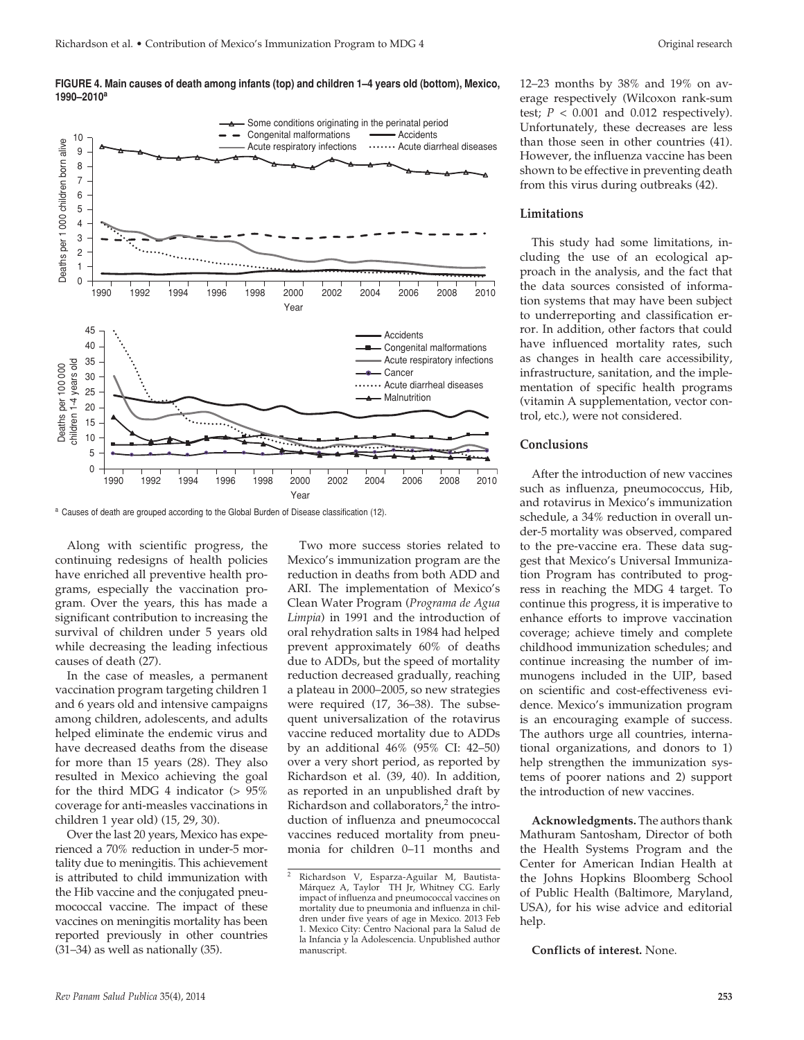#### **Figure 4. Main causes of death among infants (top) and children 1–4 years old (bottom), Mexico, 1990–2010<sup>a</sup>**



a Causes of death are grouped according to the Global Burden of Disease classification (12).

Along with scientific progress, the continuing redesigns of health policies have enriched all preventive health programs, especially the vaccination program. Over the years, this has made a significant contribution to increasing the survival of children under 5 years old while decreasing the leading infectious causes of death (27).

In the case of measles, a permanent vaccination program targeting children 1 and 6 years old and intensive campaigns among children, adolescents, and adults helped eliminate the endemic virus and have decreased deaths from the disease for more than 15 years (28). They also resulted in Mexico achieving the goal for the third MDG 4 indicator (> 95% coverage for anti-measles vaccinations in children 1 year old) (15, 29, 30).

Over the last 20 years, Mexico has experienced a 70% reduction in under-5 mortality due to meningitis. This achievement is attributed to child immunization with the Hib vaccine and the conjugated pneumococcal vaccine. The impact of these vaccines on meningitis mortality has been reported previously in other countries (31–34) as well as nationally (35).

Two more success stories related to Mexico's immunization program are the reduction in deaths from both ADD and ARI. The implementation of Mexico's Clean Water Program (*Programa de Agua Limpia*) in 1991 and the introduction of oral rehydration salts in 1984 had helped prevent approximately 60% of deaths due to ADDs, but the speed of mortality reduction decreased gradually, reaching a plateau in 2000–2005, so new strategies were required (17, 36–38). The subsequent universalization of the rotavirus vaccine reduced mortality due to ADDs by an additional 46% (95% CI: 42–50) over a very short period, as reported by Richardson et al. (39, 40). In addition, as reported in an unpublished draft by Richardson and collaborators, $2$  the introduction of influenza and pneumococcal vaccines reduced mortality from pneumonia for children 0–11 months and

12–23 months by 38% and 19% on average respectively (Wilcoxon rank-sum test;  $P < 0.001$  and 0.012 respectively). Unfortunately, these decreases are less than those seen in other countries (41). However, the influenza vaccine has been shown to be effective in preventing death from this virus during outbreaks (42).

#### **Limitations**

This study had some limitations, including the use of an ecological approach in the analysis, and the fact that the data sources consisted of information systems that may have been subject to underreporting and classification error. In addition, other factors that could have influenced mortality rates, such as changes in health care accessibility, infrastructure, sanitation, and the implementation of specific health programs (vitamin A supplementation, vector control, etc.), were not considered.

#### **Conclusions**

After the introduction of new vaccines such as influenza, pneumococcus, Hib, and rotavirus in Mexico's immunization schedule, a 34% reduction in overall under-5 mortality was observed, compared to the pre-vaccine era. These data suggest that Mexico's Universal Immunization Program has contributed to progress in reaching the MDG 4 target. To continue this progress, it is imperative to enhance efforts to improve vaccination coverage; achieve timely and complete childhood immunization schedules; and continue increasing the number of immunogens included in the UIP, based on scientific and cost-effectiveness evidence. Mexico's immunization program is an encouraging example of success. The authors urge all countries, international organizations, and donors to 1) help strengthen the immunization systems of poorer nations and 2) support the introduction of new vaccines.

**Acknowledgments.** The authors thank Mathuram Santosham, Director of both the Health Systems Program and the Center for American Indian Health at the Johns Hopkins Bloomberg School of Public Health (Baltimore, Maryland, USA), for his wise advice and editorial help.

**Conflicts of interest.** None.

<sup>2</sup> Richardson V, Esparza-Aguilar M, Bautista-Márquez A, Taylor TH Jr, Whitney CG. Early impact of influenza and pneumococcal vaccines on mortality due to pneumonia and influenza in children under five years of age in Mexico. 2013 Feb 1. Mexico City: Centro Nacional para la Salud de la Infancia y la Adolescencia. Unpublished author manuscript.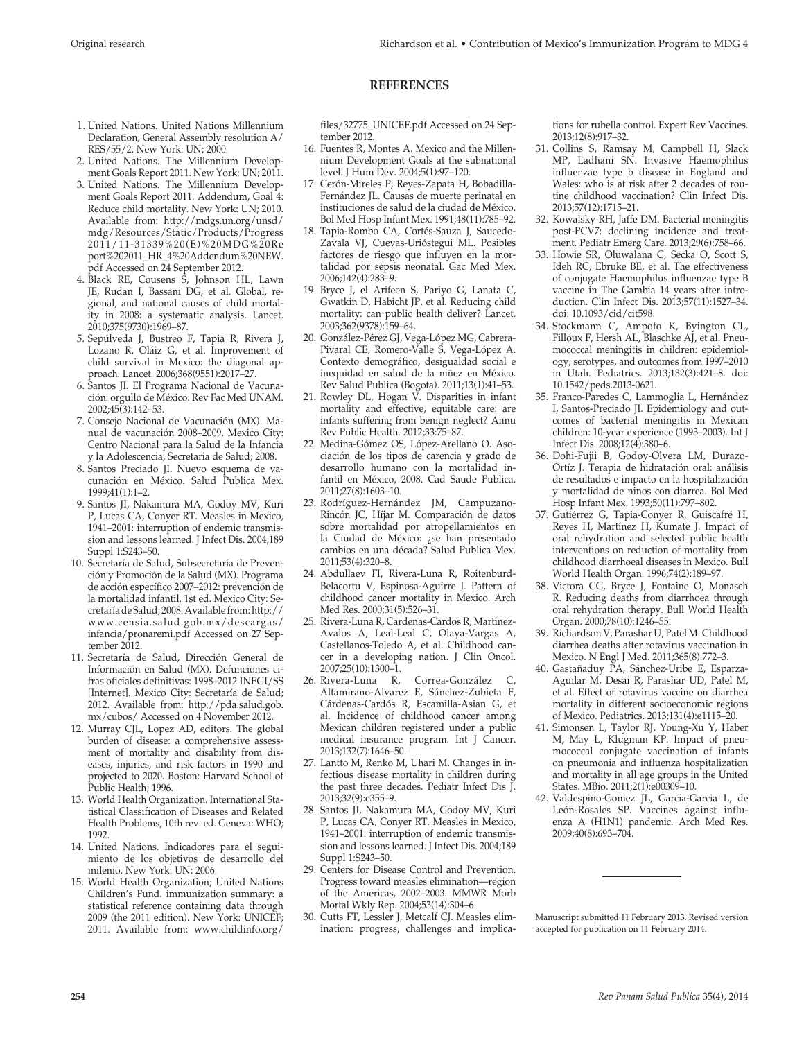#### **REFERENCES**

- 1. United Nations. United Nations Millennium Declaration, General Assembly resolution A/ RES/55/2. New York: UN; 2000.
- 2. United Nations. The Millennium Development Goals Report 2011. New York: UN; 2011.
- 3. United Nations. The Millennium Development Goals Report 2011. Addendum, Goal 4: Reduce child mortality. New York: UN; 2010. Available from: http://mdgs.un.org/unsd/ mdg/Resources/Static/Products/Progress 2011/11-31339%20(E)%20MDG%20Re port%202011\_HR\_4%20Addendum%20NEW. pdf Accessed on 24 September 2012.
- 4. Black RE, Cousens S, Johnson HL, Lawn JE, Rudan I, Bassani DG, et al. Global, regional, and national causes of child mortality in 2008: a systematic analysis. Lancet. 2010;375(9730):1969–87.
- 5. Sepúlveda J, Bustreo F, Tapia R, Rivera J, Lozano R, Oláiz G, et al. Improvement of child survival in Mexico: the diagonal approach. Lancet. 2006;368(9551):2017–27.
- 6. Santos JI. El Programa Nacional de Vacunación: orgullo de México. Rev Fac Med UNAM. 2002;45(3):142–53.
- 7. Consejo Nacional de Vacunación (MX). Manual de vacunación 2008–2009. Mexico City: Centro Nacional para la Salud de la Infancia y la Adolescencia, Secretaria de Salud; 2008.
- 8. Santos Preciado JI. Nuevo esquema de vacunación en México. Salud Publica Mex. 1999;41(1):1–2.
- 9. Santos JI, Nakamura MA, Godoy MV, Kuri P, Lucas CA, Conyer RT. Measles in Mexico, 1941–2001: interruption of endemic transmission and lessons learned. J Infect Dis. 2004;189 Suppl 1:S243–50.
- 10. Secretaría de Salud, Subsecretaría de Prevención y Promoción de la Salud (MX). Programa de acción específico 2007–2012: prevención de la mortalidad infantil. 1st ed. Mexico City: Secretaría de Salud; 2008. Available from: http:// www.censia.salud.gob.mx/descargas/ infancia/pronaremi.pdf Accessed on 27 September 2012.
- 11. Secretaría de Salud, Dirección General de Información en Salud (MX). Defunciones cifras oficiales definitivas: 1998–2012 INEGI/SS [Internet]. Mexico City: Secretaría de Salud; 2012. Available from: http://pda.salud.gob. mx/cubos/ Accessed on 4 November 2012.
- 12. Murray CJL, Lopez AD, editors. The global burden of disease: a comprehensive assessment of mortality and disability from diseases, injuries, and risk factors in 1990 and projected to 2020. Boston: Harvard School of Public Health; 1996.
- 13. World Health Organization. International Statistical Classification of Diseases and Related Health Problems, 10th rev. ed. Geneva: WHO; 1992.
- 14. United Nations. Indicadores para el seguimiento de los objetivos de desarrollo del milenio. New York: UN; 2006.
- 15. World Health Organization; United Nations Children's Fund. immunization summary: a statistical reference containing data through 2009 (the 2011 edition). New York: UNICEF; 2011. Available from: www.childinfo.org/

files/32775\_UNICEF.pdf Accessed on 24 September 2012.

- 16. Fuentes R, Montes A. Mexico and the Millennium Development Goals at the subnational level. J Hum Dev. 2004;5(1):97–120.
- 17. Cerón-Mireles P, Reyes-Zapata H, Bobadilla-Fernández JL. Causas de muerte perinatal en instituciones de salud de la ciudad de México. Bol Med Hosp Infant Mex. 1991;48(11):785–92.
- 18. Tapia-Rombo CA, Cortés-Sauza J, Saucedo-Zavala VJ, Cuevas-Urióstegui ML. Posibles factores de riesgo que influyen en la mortalidad por sepsis neonatal. Gac Med Mex. 2006;142(4):283–9.
- 19. Bryce J, el Arifeen S, Pariyo G, Lanata C, Gwatkin D, Habicht JP, et al. Reducing child mortality: can public health deliver? Lancet. 2003;362(9378):159–64.
- 20. González-Pérez GJ, Vega-López MG, Cabrera-Pivaral CE, Romero-Valle S, Vega-López A. Contexto demográfico, desigualdad social e inequidad en salud de la niñez en México. Rev Salud Publica (Bogota). 2011;13(1):41–53.
- 21. Rowley DL, Hogan V. Disparities in infant mortality and effective, equitable care: are infants suffering from benign neglect? Annu Rev Public Health. 2012;33:75–87.
- 22. Medina-Gómez OS, López-Arellano O. Asociación de los tipos de carencia y grado de desarrollo humano con la mortalidad infantil en México, 2008. Cad Saude Publica. 2011;27(8):1603–10.
- 23. Rodríguez-Hernández JM, Campuzano-Rincón JC, Híjar M. Comparación de datos sobre mortalidad por atropellamientos en la Ciudad de México: ¿se han presentado cambios en una década? Salud Publica Mex. 2011;53(4):320–8.
- 24. Abdullaev FI, Rivera-Luna R, Roitenburd-Belacortu V, Espinosa-Aguirre J. Pattern of childhood cancer mortality in Mexico. Arch Med Res. 2000;31(5):526–31.
- 25. Rivera-Luna R, Cardenas-Cardos R, Martínez-Avalos A, Leal-Leal C, Olaya-Vargas A, Castellanos-Toledo A, et al. Childhood cancer in a developing nation. J Clin Oncol. 2007;25(10):1300–1.
- 26. Rivera-Luna R, Correa-González C, Altamirano-Alvarez E, Sánchez-Zubieta F, Cárdenas-Cardós R, Escamilla-Asian G, et al. Incidence of childhood cancer among Mexican children registered under a public medical insurance program. Int J Cancer. 2013;132(7):1646–50.
- 27. Lantto M, Renko M, Uhari M. Changes in infectious disease mortality in children during the past three decades. Pediatr Infect Dis J. 2013;32(9):e355–9.
- 28. Santos JI, Nakamura MA, Godoy MV, Kuri P, Lucas CA, Conyer RT. Measles in Mexico, 1941–2001: interruption of endemic transmission and lessons learned. J Infect Dis. 2004;189 Suppl 1:S243–50.
- 29. Centers for Disease Control and Prevention. Progress toward measles elimination—region of the Americas, 2002–2003. MMWR Morb Mortal Wkly Rep. 2004;53(14):304–6.
- 30. Cutts FT, Lessler J, Metcalf CJ. Measles elimination: progress, challenges and implica-

tions for rubella control. Expert Rev Vaccines. 2013;12(8):917–32.

- 31. Collins S, Ramsay M, Campbell H, Slack MP, Ladhani SN. Invasive Haemophilus influenzae type b disease in England and Wales: who is at risk after 2 decades of routine childhood vaccination? Clin Infect Dis. 2013;57(12):1715–21.
- 32. Kowalsky RH, Jaffe DM. Bacterial meningitis post-PCV7: declining incidence and treatment. Pediatr Emerg Care. 2013;29(6):758–66.
- 33. Howie SR, Oluwalana C, Secka O, Scott S, Ideh RC, Ebruke BE, et al. The effectiveness of conjugate Haemophilus influenzae type B vaccine in The Gambia 14 years after introduction. Clin Infect Dis. 2013;57(11):1527–34. doi: 10.1093/cid/cit598.
- 34. Stockmann C, Ampofo K, Byington CL, Filloux F, Hersh AL, Blaschke AJ, et al. Pneumococcal meningitis in children: epidemiology, serotypes, and outcomes from 1997–2010 in Utah. Pediatrics. 2013;132(3):421–8. doi: 10.1542/peds.2013-0621.
- 35. Franco-Paredes C, Lammoglia L, Hernández I, Santos-Preciado JI. Epidemiology and outcomes of bacterial meningitis in Mexican children: 10-year experience (1993–2003). Int J Infect Dis. 2008;12(4):380–6.
- 36. Dohi-Fujii B, Godoy-Olvera LM, Durazo-Ortíz J. Terapia de hidratación oral: análisis de resultados e impacto en la hospitalización y mortalidad de ninos con diarrea. Bol Med Hosp Infant Mex. 1993;50(11):797–802.
- 37. Gutiérrez G, Tapia-Conyer R, Guiscafré H, Reyes H, Martínez H, Kumate J. Impact of oral rehydration and selected public health interventions on reduction of mortality from childhood diarrhoeal diseases in Mexico. Bull World Health Organ. 1996;74(2):189–97.
- 38. Victora CG, Bryce J, Fontaine O, Monasch R. Reducing deaths from diarrhoea through oral rehydration therapy. Bull World Health Organ. 2000;78(10):1246–55.
- 39. Richardson V, Parashar U, Patel M. Childhood diarrhea deaths after rotavirus vaccination in Mexico. N Engl J Med. 2011;365(8):772–3.
- 40. Gastañaduy PA, Sánchez-Uribe E, Esparza-Aguilar M, Desai R, Parashar UD, Patel M, et al. Effect of rotavirus vaccine on diarrhea mortality in different socioeconomic regions of Mexico. Pediatrics. 2013;131(4):e1115–20.
- 41. Simonsen L, Taylor RJ, Young-Xu Y, Haber M, May L, Klugman KP. Impact of pneumococcal conjugate vaccination of infants on pneumonia and influenza hospitalization and mortality in all age groups in the United States. MBio. 2011;2(1):e00309–10.
- 42. Valdespino-Gomez JL, Garcia-Garcia L, de León-Rosales SP. Vaccines against influenza A (H1N1) pandemic. Arch Med Res. 2009;40(8):693–704.

Manuscript submitted 11 February 2013. Revised version accepted for publication on 11 February 2014.